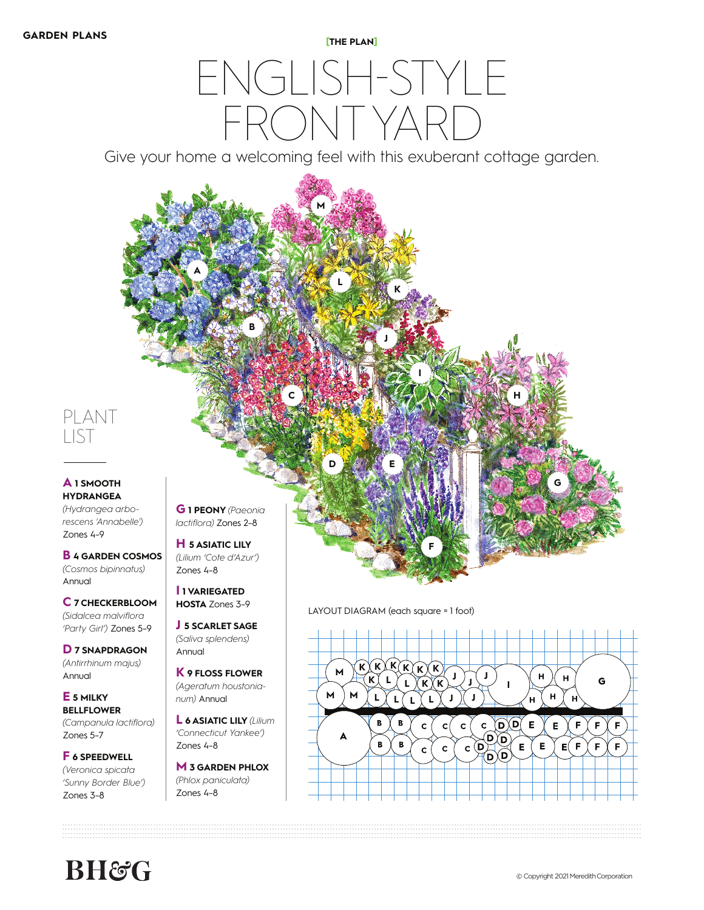## ENGLISH-STYLE FRONTYAI

Give your home a welcoming feel with this exuberant cottage garden.



**I 1 VARIEGATED** 

**J 5 SCARLET SAGE**  *(Saliva splendens)*  Annual

**K 9 FLOSS FLOWER**  *(Ageratum houstonianum)* Annual

**L 6 ASIATIC LILY** *(Lilium 'Connecticut Yankee')*  Zones 4–8

**M 3 GARDEN PHLOX**  *(Phlox paniculata)*  Zones 4–8

**HOSTA** Zones 3-9 LAYOUT DIAGRAM (each square = 1 foot)



**BH&C** 

**C 7 CHECKERBLOOM**  *(Sidalcea malviflora 'Party Girl')* Zones 5–9 **D 7 SNAPDRAGON**  *(Antirrhinum majus)* 

Annual **E 5 MILKY BELLFLOWER**  *(Campanula lactiflora)* 

Zones 5–7

Zones 3–8

**F 6 SPEEDWELL**  *(Veronica spicata 'Sunny Border Blue')*